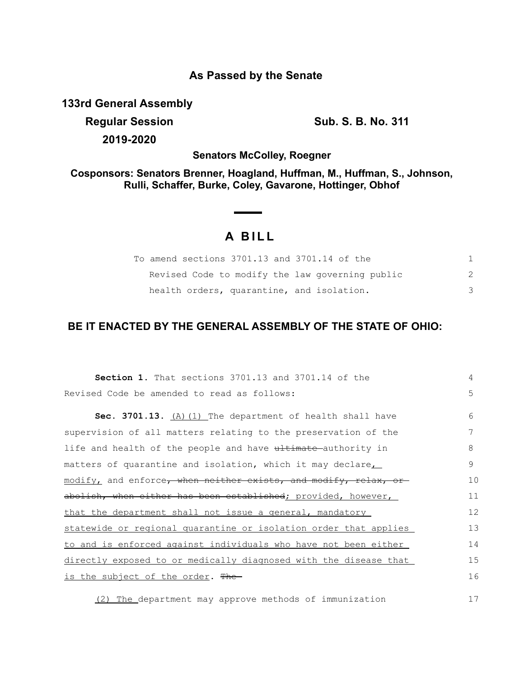### **As Passed by the Senate**

**133rd General Assembly**

**Regular Session Sub. S. B. No. 311 2019-2020**

**Senators McColley, Roegner**

**Cosponsors: Senators Brenner, Hoagland, Huffman, M., Huffman, S., Johnson, Rulli, Schaffer, Burke, Coley, Gavarone, Hottinger, Obhof**

## **A B I L L**

| To amend sections 3701.13 and 3701.14 of the    |  |
|-------------------------------------------------|--|
| Revised Code to modify the law governing public |  |
| health orders, quarantine, and isolation.       |  |

# **BE IT ENACTED BY THE GENERAL ASSEMBLY OF THE STATE OF OHIO:**

| Section 1. That sections 3701.13 and 3701.14 of the              | 4  |
|------------------------------------------------------------------|----|
| Revised Code be amended to read as follows:                      | 5  |
| Sec. 3701.13. $(A)$ (1) The department of health shall have      | 6  |
| supervision of all matters relating to the preservation of the   | 7  |
| life and health of the people and have ultimate authority in     | 8  |
| matters of quarantine and isolation, which it may declare        | 9  |
| modify, and enforce, when neither exists, and modify, relax, or  | 10 |
| abolish, when either has been established; provided, however,    | 11 |
| that the department shall not issue a general, mandatory         | 12 |
| statewide or regional quarantine or isolation order that applies | 13 |
| to and is enforced against individuals who have not been either  | 14 |
| directly exposed to or medically diagnosed with the disease that | 15 |
| <u>is the subject of the order</u> . <del>The</del>              | 16 |
|                                                                  |    |

(2) The department may approve methods of immunization

17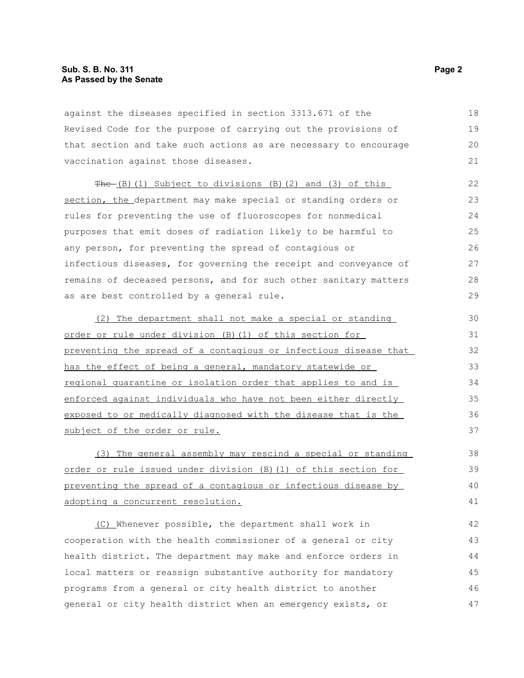against the diseases specified in section 3313.671 of the Revised Code for the purpose of carrying out the provisions of that section and take such actions as are necessary to encourage vaccination against those diseases. 18 19

The (B)(1) Subject to divisions (B)(2) and (3) of this section, the department may make special or standing orders or rules for preventing the use of fluoroscopes for nonmedical purposes that emit doses of radiation likely to be harmful to any person, for preventing the spread of contagious or infectious diseases, for governing the receipt and conveyance of remains of deceased persons, and for such other sanitary matters as are best controlled by a general rule.

(2) The department shall not make a special or standing order or rule under division (B)(1) of this section for preventing the spread of a contagious or infectious disease that has the effect of being a general, mandatory statewide or regional quarantine or isolation order that applies to and is enforced against individuals who have not been either directly exposed to or medically diagnosed with the disease that is the subject of the order or rule.

(3) The general assembly may rescind a special or standing order or rule issued under division (B)(1) of this section for preventing the spread of a contagious or infectious disease by adopting a concurrent resolution.

(C) Whenever possible, the department shall work in cooperation with the health commissioner of a general or city health district. The department may make and enforce orders in local matters or reassign substantive authority for mandatory programs from a general or city health district to another general or city health district when an emergency exists, or 42 43 44 45 46 47

20 21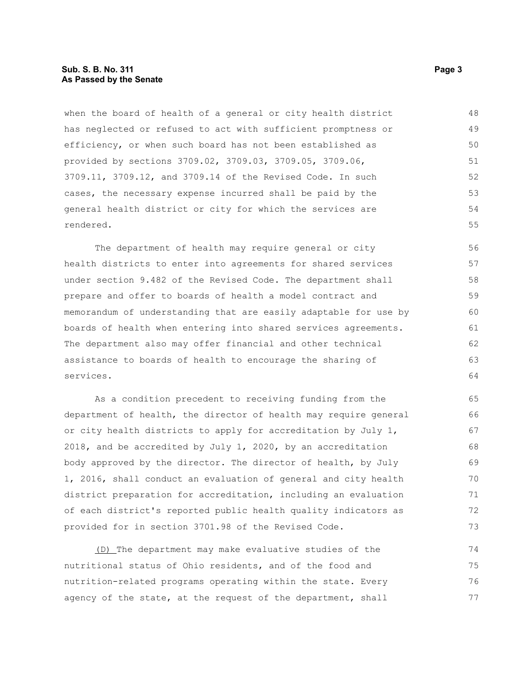### **Sub. S. B. No. 311 Page 3 As Passed by the Senate**

when the board of health of a general or city health district has neglected or refused to act with sufficient promptness or efficiency, or when such board has not been established as provided by sections 3709.02, 3709.03, 3709.05, 3709.06, 3709.11, 3709.12, and 3709.14 of the Revised Code. In such cases, the necessary expense incurred shall be paid by the general health district or city for which the services are rendered. 48 49 50 51 52 53 54 55

The department of health may require general or city health districts to enter into agreements for shared services under section 9.482 of the Revised Code. The department shall prepare and offer to boards of health a model contract and memorandum of understanding that are easily adaptable for use by boards of health when entering into shared services agreements. The department also may offer financial and other technical assistance to boards of health to encourage the sharing of services.

As a condition precedent to receiving funding from the department of health, the director of health may require general or city health districts to apply for accreditation by July 1, 2018, and be accredited by July 1, 2020, by an accreditation body approved by the director. The director of health, by July 1, 2016, shall conduct an evaluation of general and city health district preparation for accreditation, including an evaluation of each district's reported public health quality indicators as provided for in section 3701.98 of the Revised Code.

(D) The department may make evaluative studies of the nutritional status of Ohio residents, and of the food and nutrition-related programs operating within the state. Every agency of the state, at the request of the department, shall 74 75 76 77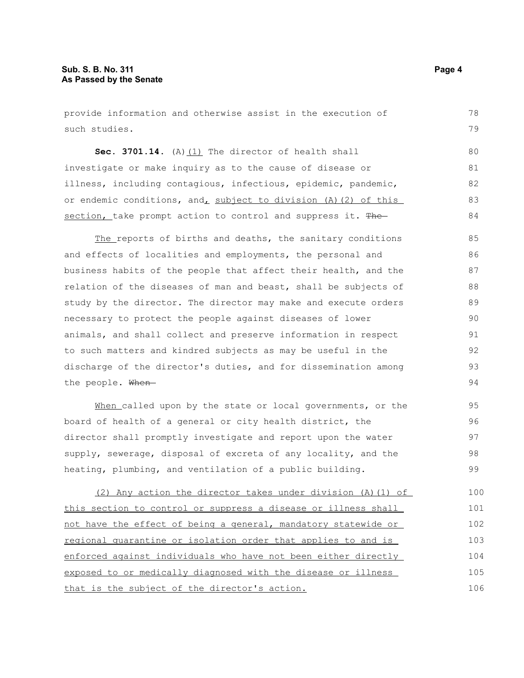provide information and otherwise assist in the execution of such studies. **Sec. 3701.14.** (A)(1) The director of health shall investigate or make inquiry as to the cause of disease or illness, including contagious, infectious, epidemic, pandemic, or endemic conditions, and, subject to division (A)(2) of this section, take prompt action to control and suppress it. The The reports of births and deaths, the sanitary conditions and effects of localities and employments, the personal and business habits of the people that affect their health, and the relation of the diseases of man and beast, shall be subjects of study by the director. The director may make and execute orders necessary to protect the people against diseases of lower animals, and shall collect and preserve information in respect to such matters and kindred subjects as may be useful in the discharge of the director's duties, and for dissemination among the people. When-When called upon by the state or local governments, or the board of health of a general or city health district, the director shall promptly investigate and report upon the water supply, sewerage, disposal of excreta of any locality, and the heating, plumbing, and ventilation of a public building. (2) Any action the director takes under division (A)(1) of 78 79 80 81 82 83 84 85 86 87 88 89 90 91 92 93 94 95 96 97 98 99 100

this section to control or suppress a disease or illness shall not have the effect of being a general, mandatory statewide or regional quarantine or isolation order that applies to and is enforced against individuals who have not been either directly exposed to or medically diagnosed with the disease or illness that is the subject of the director's action. 101 102 103 104 105 106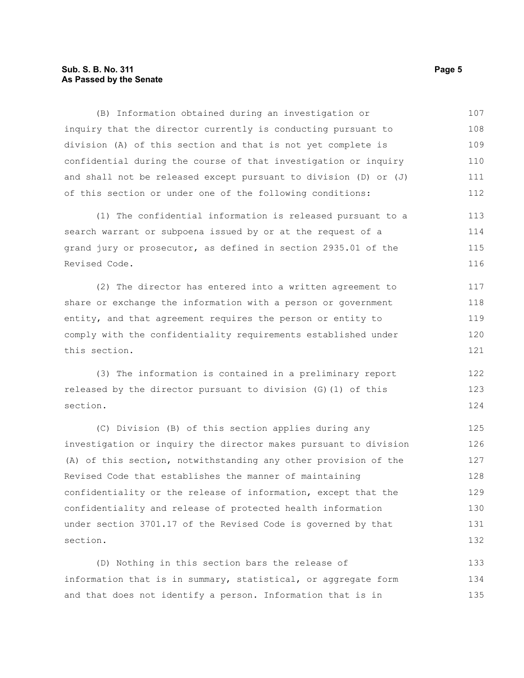### **Sub. S. B. No. 311 Page 5 As Passed by the Senate**

(B) Information obtained during an investigation or inquiry that the director currently is conducting pursuant to division (A) of this section and that is not yet complete is confidential during the course of that investigation or inquiry and shall not be released except pursuant to division (D) or (J) of this section or under one of the following conditions: 107 108 109 110 111 112

(1) The confidential information is released pursuant to a search warrant or subpoena issued by or at the request of a grand jury or prosecutor, as defined in section 2935.01 of the Revised Code. 113 114 115 116

(2) The director has entered into a written agreement to share or exchange the information with a person or government entity, and that agreement requires the person or entity to comply with the confidentiality requirements established under this section. 117 118 119 120 121

(3) The information is contained in a preliminary report released by the director pursuant to division (G)(1) of this section. 122 123 124

(C) Division (B) of this section applies during any investigation or inquiry the director makes pursuant to division (A) of this section, notwithstanding any other provision of the Revised Code that establishes the manner of maintaining confidentiality or the release of information, except that the confidentiality and release of protected health information under section 3701.17 of the Revised Code is governed by that section. 125 126 127 128 129 130 131 132

(D) Nothing in this section bars the release of information that is in summary, statistical, or aggregate form and that does not identify a person. Information that is in 133 134 135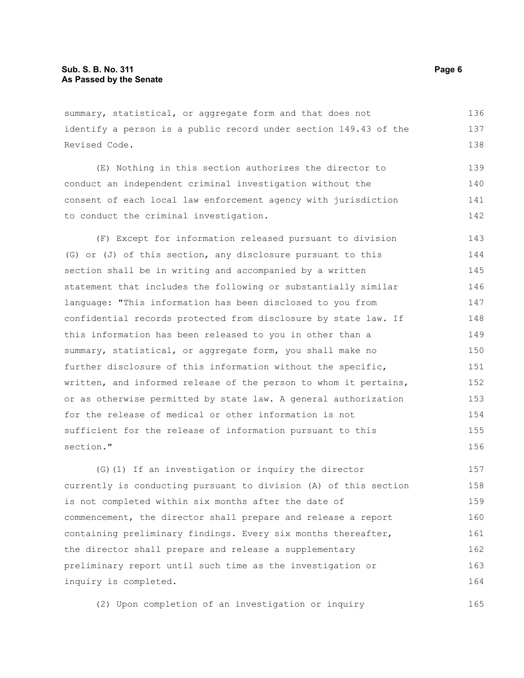summary, statistical, or aggregate form and that does not identify a person is a public record under section 149.43 of the Revised Code. 136 137 138

(E) Nothing in this section authorizes the director to conduct an independent criminal investigation without the consent of each local law enforcement agency with jurisdiction to conduct the criminal investigation. 139 140 141 142

(F) Except for information released pursuant to division (G) or (J) of this section, any disclosure pursuant to this section shall be in writing and accompanied by a written statement that includes the following or substantially similar language: "This information has been disclosed to you from confidential records protected from disclosure by state law. If this information has been released to you in other than a summary, statistical, or aggregate form, you shall make no further disclosure of this information without the specific, written, and informed release of the person to whom it pertains, or as otherwise permitted by state law. A general authorization for the release of medical or other information is not sufficient for the release of information pursuant to this section." 143 144 145 146 147 148 149 150 151 152 153 154 155 156

(G)(1) If an investigation or inquiry the director currently is conducting pursuant to division (A) of this section is not completed within six months after the date of commencement, the director shall prepare and release a report containing preliminary findings. Every six months thereafter, the director shall prepare and release a supplementary preliminary report until such time as the investigation or inquiry is completed. 157 158 159 160 161 162 163 164

(2) Upon completion of an investigation or inquiry 165